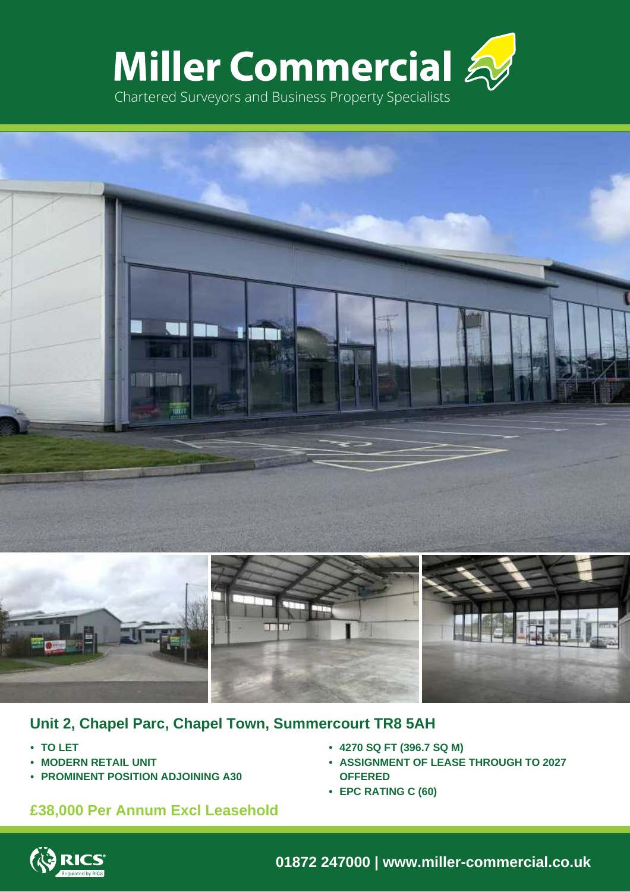





# **Unit 2, Chapel Parc, Chapel Town, Summercourt TR8 5AH**

- **• TO LET**
- **• MODERN RETAIL UNIT**
- **• PROMINENT POSITION ADJOINING A30**

# **£38,000 Per Annum Excl Leasehold**

- **• 4270 SQ FT (396.7 SQ M)**
- **• ASSIGNMENT OF LEASE THROUGH TO 2027 OFFERED**
- **• EPC RATING C (60)**



**01872 247000 | www.miller-commercial.co.uk**